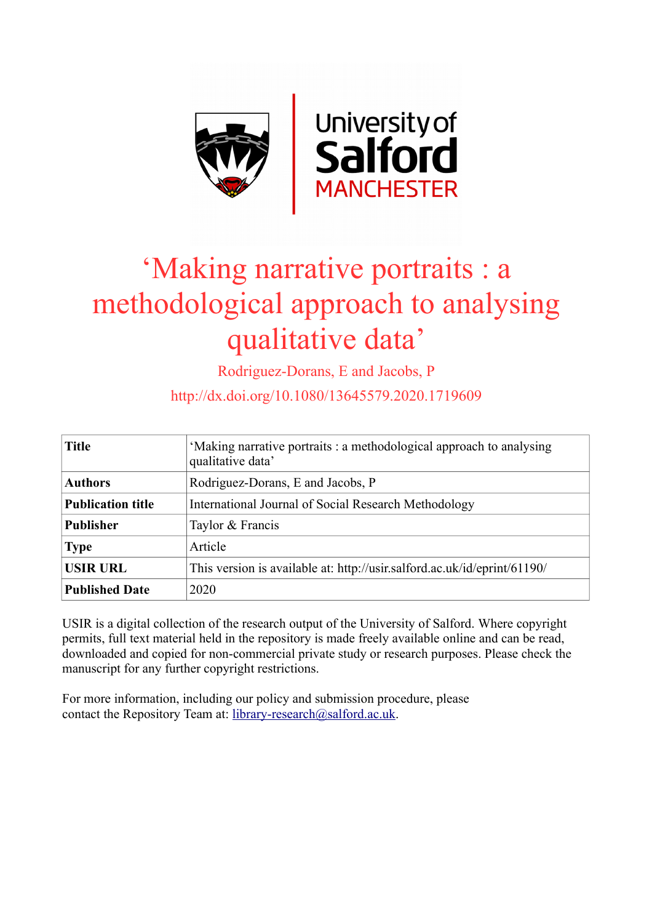

# 'Making narrative portraits : a methodological approach to analysing qualitative data'

Rodriguez-Dorans, E and Jacobs, P

http://dx.doi.org/10.1080/13645579.2020.1719609

| <b>Title</b>             | 'Making narrative portraits : a methodological approach to analysing<br>qualitative data' |  |
|--------------------------|-------------------------------------------------------------------------------------------|--|
| <b>Authors</b>           | Rodriguez-Dorans, E and Jacobs, P                                                         |  |
| <b>Publication title</b> | International Journal of Social Research Methodology                                      |  |
| <b>Publisher</b>         | Taylor & Francis                                                                          |  |
| <b>Type</b>              | Article                                                                                   |  |
| <b>USIR URL</b>          | This version is available at: http://usir.salford.ac.uk/id/eprint/61190/                  |  |
| <b>Published Date</b>    | 2020                                                                                      |  |

USIR is a digital collection of the research output of the University of Salford. Where copyright permits, full text material held in the repository is made freely available online and can be read, downloaded and copied for non-commercial private study or research purposes. Please check the manuscript for any further copyright restrictions.

For more information, including our policy and submission procedure, please contact the Repository Team at: [library-research@salford.ac.uk.](mailto:library-research@salford.ac.uk)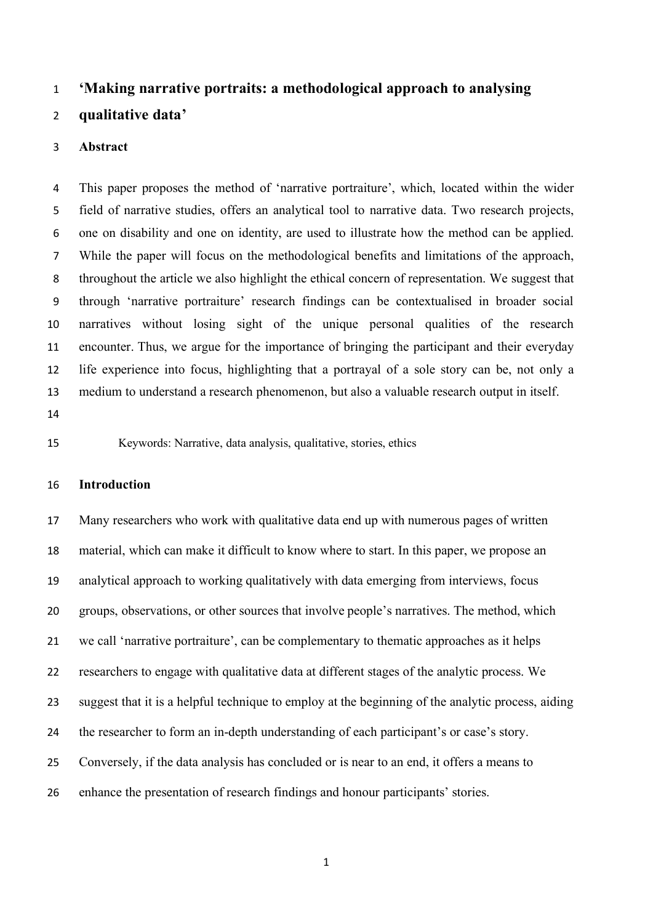# **'Making narrative portraits: a methodological approach to analysing**

# **qualitative data'**

#### **Abstract**

 This paper proposes the method of 'narrative portraiture', which, located within the wider field of narrative studies, offers an analytical tool to narrative data. Two research projects, one on disability and one on identity, are used to illustrate how the method can be applied. While the paper will focus on the methodological benefits and limitations of the approach, throughout the article we also highlight the ethical concern of representation. We suggest that through 'narrative portraiture' research findings can be contextualised in broader social narratives without losing sight of the unique personal qualities of the research encounter. Thus, we argue for the importance of bringing the participant and their everyday life experience into focus, highlighting that a portrayal of a sole story can be, not only a medium to understand a research phenomenon, but also a valuable research output in itself. 

Keywords: Narrative, data analysis, qualitative, stories, ethics

#### **Introduction**

 Many researchers who work with qualitative data end up with numerous pages of written material, which can make it difficult to know where to start. In this paper, we propose an analytical approach to working qualitatively with data emerging from interviews, focus groups, observations, or other sources that involve people's narratives. The method, which we call 'narrative portraiture', can be complementary to thematic approaches as it helps researchers to engage with qualitative data at different stages of the analytic process. We suggest that it is a helpful technique to employ at the beginning of the analytic process, aiding the researcher to form an in-depth understanding of each participant's or case's story. Conversely, if the data analysis has concluded or is near to an end, it offers a means to enhance the presentation of research findings and honour participants' stories.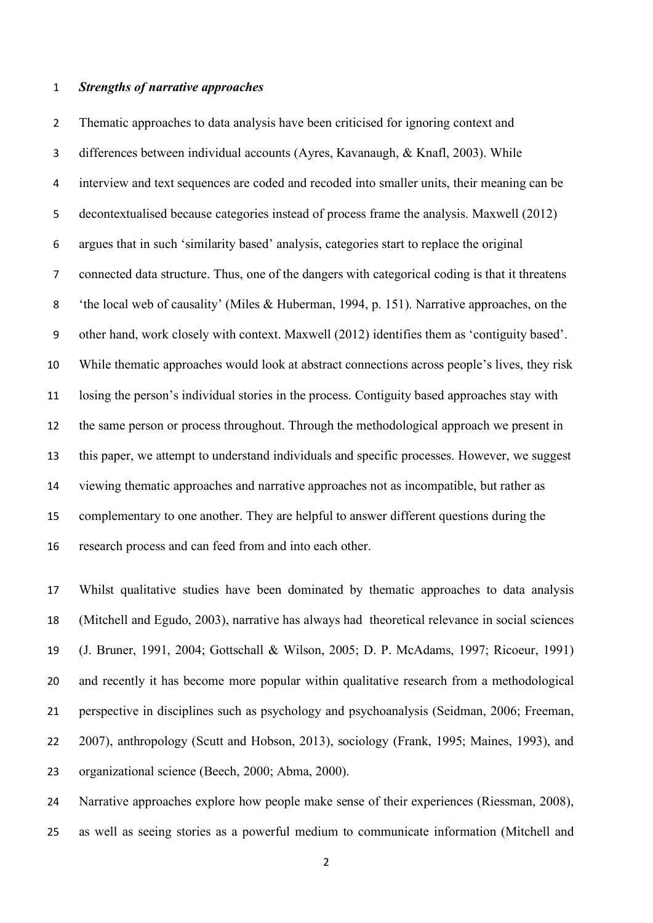#### *Strengths of narrative approaches*

 Thematic approaches to data analysis have been criticised for ignoring context and differences between individual accounts (Ayres, Kavanaugh, & Knafl, 2003). While interview and text sequences are coded and recoded into smaller units, their meaning can be decontextualised because categories instead of process frame the analysis. Maxwell (2012) argues that in such 'similarity based' analysis, categories start to replace the original connected data structure. Thus, one of the dangers with categorical coding is that it threatens 'the local web of causality' (Miles & Huberman, 1994, p. 151). Narrative approaches, on the other hand, work closely with context. Maxwell (2012) identifies them as 'contiguity based'. While thematic approaches would look at abstract connections across people's lives, they risk losing the person's individual stories in the process. Contiguity based approaches stay with the same person or process throughout. Through the methodological approach we present in this paper, we attempt to understand individuals and specific processes. However, we suggest viewing thematic approaches and narrative approaches not as incompatible, but rather as complementary to one another. They are helpful to answer different questions during the research process and can feed from and into each other.

 Whilst qualitative studies have been dominated by thematic approaches to data analysis (Mitchell and Egudo, 2003), narrative has always had theoretical relevance in social sciences (J. Bruner, 1991, 2004; Gottschall & Wilson, 2005; D. P. McAdams, 1997; Ricoeur, 1991) and recently it has become more popular within qualitative research from a methodological perspective in disciplines such as psychology and psychoanalysis (Seidman, 2006; Freeman, 2007), anthropology (Scutt and Hobson, 2013), sociology (Frank, 1995; Maines, 1993), and organizational science (Beech, 2000; Abma, 2000).

 Narrative approaches explore how people make sense of their experiences (Riessman, 2008), as well as seeing stories as a powerful medium to communicate information (Mitchell and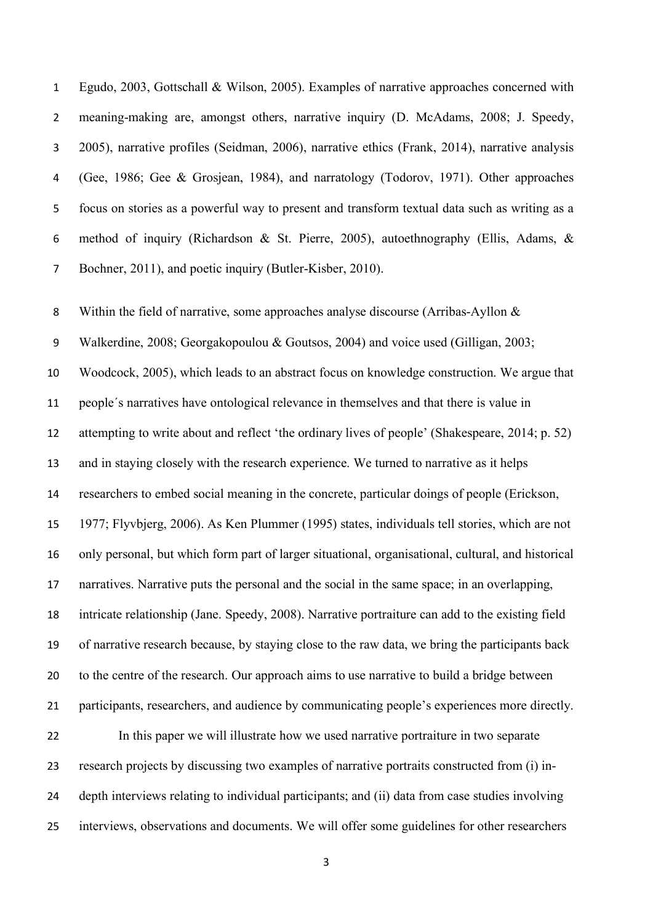Egudo, 2003, Gottschall & Wilson, 2005). Examples of narrative approaches concerned with meaning-making are, amongst others, narrative inquiry (D. McAdams, 2008; J. Speedy, 2005), narrative profiles (Seidman, 2006), narrative ethics (Frank, 2014), narrative analysis (Gee, 1986; Gee & Grosjean, 1984), and narratology (Todorov, 1971). Other approaches focus on stories as a powerful way to present and transform textual data such as writing as a method of inquiry (Richardson & St. Pierre, 2005), autoethnography (Ellis, Adams, & Bochner, 2011), and poetic inquiry (Butler-Kisber, 2010).

 Within the field of narrative, some approaches analyse discourse (Arribas-Ayllon & Walkerdine, 2008; Georgakopoulou & Goutsos, 2004) and voice used (Gilligan, 2003; Woodcock, 2005), which leads to an abstract focus on knowledge construction. We argue that people´s narratives have ontological relevance in themselves and that there is value in attempting to write about and reflect 'the ordinary lives of people' (Shakespeare, 2014; p. 52) and in staying closely with the research experience. We turned to narrative as it helps researchers to embed social meaning in the concrete, particular doings of people (Erickson, 1977; Flyvbjerg, 2006). As Ken Plummer (1995) states, individuals tell stories, which are not only personal, but which form part of larger situational, organisational, cultural, and historical narratives. Narrative puts the personal and the social in the same space; in an overlapping, intricate relationship (Jane. Speedy, 2008). Narrative portraiture can add to the existing field of narrative research because, by staying close to the raw data, we bring the participants back to the centre of the research. Our approach aims to use narrative to build a bridge between participants, researchers, and audience by communicating people's experiences more directly. In this paper we will illustrate how we used narrative portraiture in two separate research projects by discussing two examples of narrative portraits constructed from (i) in- depth interviews relating to individual participants; and (ii) data from case studies involving interviews, observations and documents. We will offer some guidelines for other researchers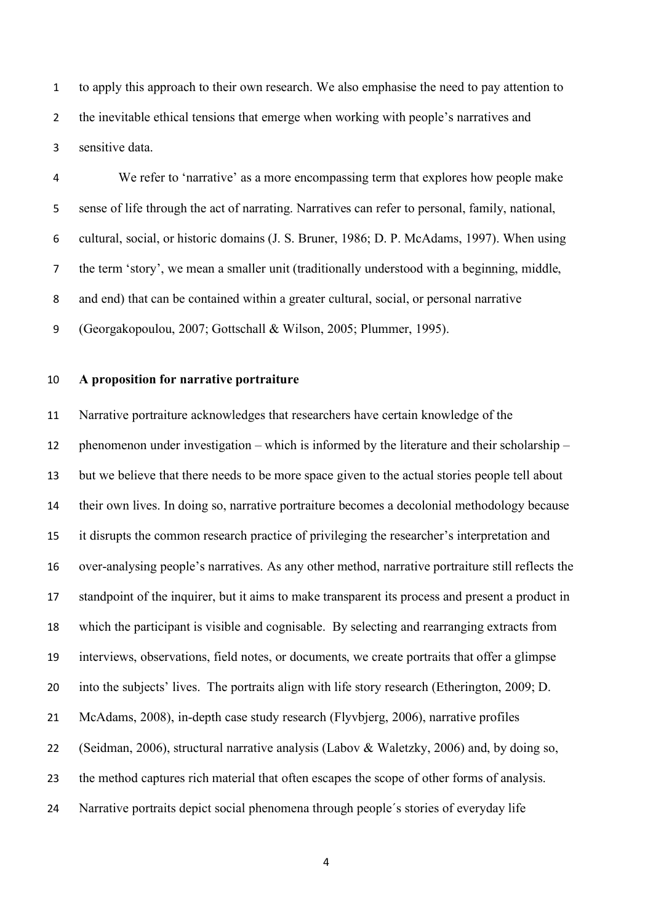to apply this approach to their own research. We also emphasise the need to pay attention to 2 the inevitable ethical tensions that emerge when working with people's narratives and sensitive data.

 We refer to 'narrative' as a more encompassing term that explores how people make sense of life through the act of narrating. Narratives can refer to personal, family, national, cultural, social, or historic domains (J. S. Bruner, 1986; D. P. McAdams, 1997). When using the term 'story', we mean a smaller unit (traditionally understood with a beginning, middle, and end) that can be contained within a greater cultural, social, or personal narrative (Georgakopoulou, 2007; Gottschall & Wilson, 2005; Plummer, 1995).

# **A proposition for narrative portraiture**

 Narrative portraiture acknowledges that researchers have certain knowledge of the phenomenon under investigation – which is informed by the literature and their scholarship – but we believe that there needs to be more space given to the actual stories people tell about their own lives. In doing so, narrative portraiture becomes a decolonial methodology because it disrupts the common research practice of privileging the researcher's interpretation and over-analysing people's narratives. As any other method, narrative portraiture still reflects the standpoint of the inquirer, but it aims to make transparent its process and present a product in which the participant is visible and cognisable. By selecting and rearranging extracts from interviews, observations, field notes, or documents, we create portraits that offer a glimpse into the subjects' lives. The portraits align with life story research (Etherington, 2009; D. McAdams, 2008), in-depth case study research (Flyvbjerg, 2006), narrative profiles (Seidman, 2006), structural narrative analysis (Labov & Waletzky, 2006) and, by doing so, the method captures rich material that often escapes the scope of other forms of analysis. Narrative portraits depict social phenomena through people´s stories of everyday life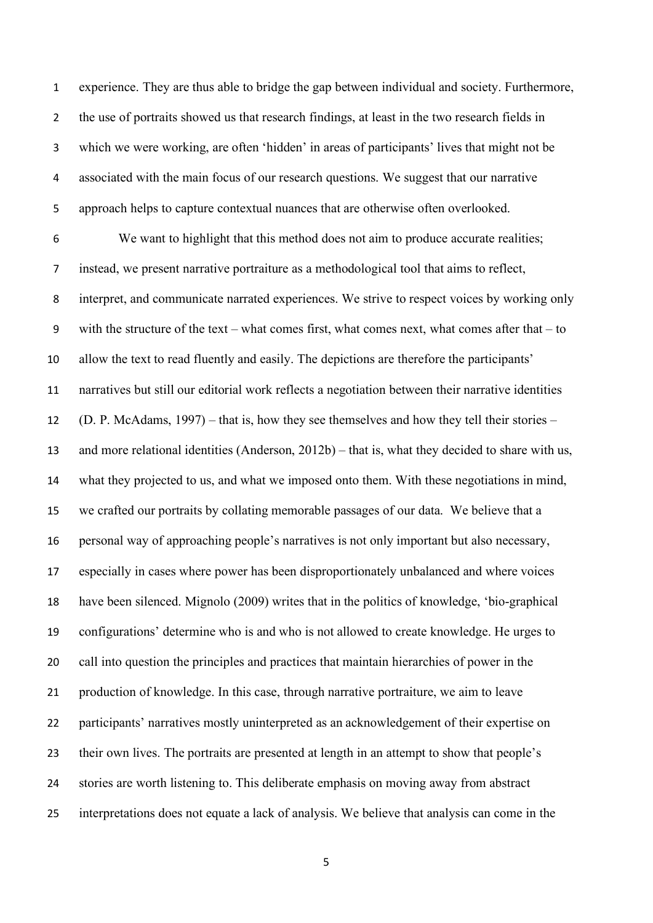experience. They are thus able to bridge the gap between individual and society. Furthermore, the use of portraits showed us that research findings, at least in the two research fields in which we were working, are often 'hidden' in areas of participants' lives that might not be associated with the main focus of our research questions. We suggest that our narrative approach helps to capture contextual nuances that are otherwise often overlooked.

 We want to highlight that this method does not aim to produce accurate realities; instead, we present narrative portraiture as a methodological tool that aims to reflect, interpret, and communicate narrated experiences. We strive to respect voices by working only with the structure of the text – what comes first, what comes next, what comes after that – to allow the text to read fluently and easily. The depictions are therefore the participants' narratives but still our editorial work reflects a negotiation between their narrative identities (D. P. McAdams, 1997) – that is, how they see themselves and how they tell their stories – and more relational identities (Anderson, 2012b) – that is, what they decided to share with us, what they projected to us, and what we imposed onto them. With these negotiations in mind, we crafted our portraits by collating memorable passages of our data. We believe that a personal way of approaching people's narratives is not only important but also necessary, especially in cases where power has been disproportionately unbalanced and where voices have been silenced. Mignolo (2009) writes that in the politics of knowledge, 'bio-graphical configurations' determine who is and who is not allowed to create knowledge. He urges to call into question the principles and practices that maintain hierarchies of power in the production of knowledge. In this case, through narrative portraiture, we aim to leave participants' narratives mostly uninterpreted as an acknowledgement of their expertise on their own lives. The portraits are presented at length in an attempt to show that people's stories are worth listening to. This deliberate emphasis on moving away from abstract interpretations does not equate a lack of analysis. We believe that analysis can come in the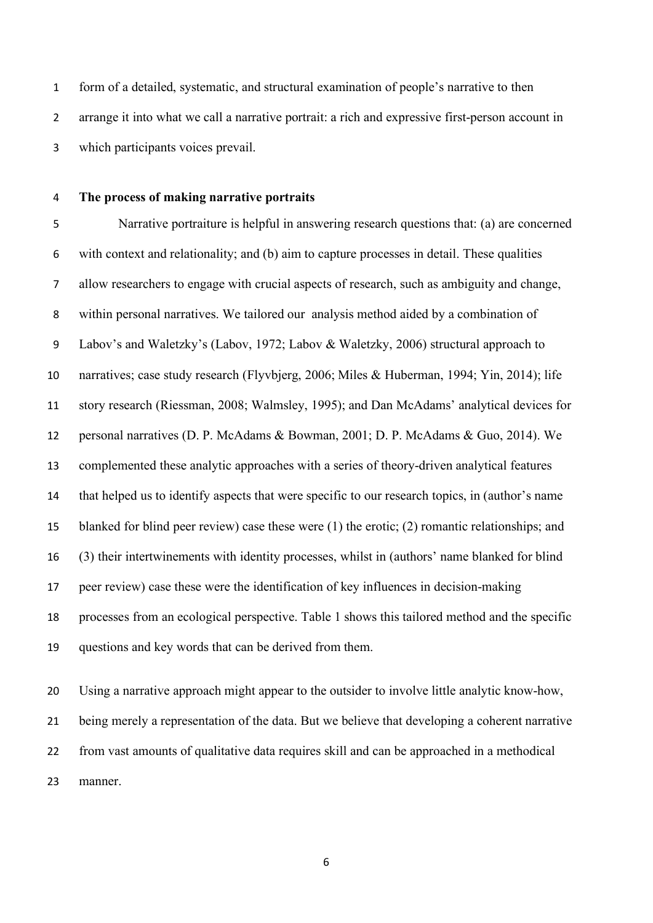form of a detailed, systematic, and structural examination of people's narrative to then arrange it into what we call a narrative portrait: a rich and expressive first-person account in which participants voices prevail.

# **The process of making narrative portraits**

 Narrative portraiture is helpful in answering research questions that: (a) are concerned with context and relationality; and (b) aim to capture processes in detail. These qualities allow researchers to engage with crucial aspects of research, such as ambiguity and change, within personal narratives. We tailored our analysis method aided by a combination of Labov's and Waletzky's (Labov, 1972; Labov & Waletzky, 2006) structural approach to narratives; case study research (Flyvbjerg, 2006; Miles & Huberman, 1994; Yin, 2014); life story research (Riessman, 2008; Walmsley, 1995); and Dan McAdams' analytical devices for personal narratives (D. P. McAdams & Bowman, 2001; D. P. McAdams & Guo, 2014). We complemented these analytic approaches with a series of theory-driven analytical features that helped us to identify aspects that were specific to our research topics, in (author's name blanked for blind peer review) case these were (1) the erotic; (2) romantic relationships; and (3) their intertwinements with identity processes, whilst in (authors' name blanked for blind peer review) case these were the identification of key influences in decision-making processes from an ecological perspective. Table 1 shows this tailored method and the specific questions and key words that can be derived from them.

 Using a narrative approach might appear to the outsider to involve little analytic know-how, being merely a representation of the data. But we believe that developing a coherent narrative from vast amounts of qualitative data requires skill and can be approached in a methodical manner.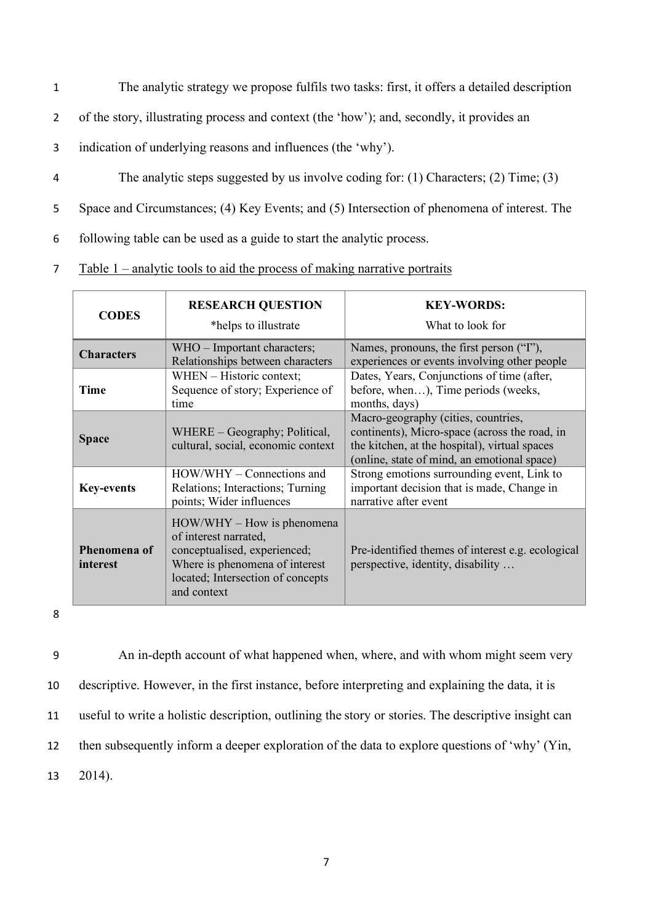- 1 The analytic strategy we propose fulfils two tasks: first, it offers a detailed description
- 2 of the story, illustrating process and context (the 'how'); and, secondly, it provides an
- 3 indication of underlying reasons and influences (the 'why').
- 4 The analytic steps suggested by us involve coding for: (1) Characters; (2) Time; (3)

5 Space and Circumstances; (4) Key Events; and (5) Intersection of phenomena of interest. The

6 following table can be used as a guide to start the analytic process.

7 Table 1 – analytic tools to aid the process of making narrative portraits

| <b>CODES</b>             | <b>RESEARCH QUESTION</b><br>*helps to illustrate                                                                                                                            | <b>KEY-WORDS:</b><br>What to look for                                                                                                                                                |
|--------------------------|-----------------------------------------------------------------------------------------------------------------------------------------------------------------------------|--------------------------------------------------------------------------------------------------------------------------------------------------------------------------------------|
| <b>Characters</b>        | WHO - Important characters;<br>Relationships between characters                                                                                                             | Names, pronouns, the first person ("I"),<br>experiences or events involving other people                                                                                             |
| Time                     | WHEN - Historic context;<br>Sequence of story; Experience of<br>time                                                                                                        | Dates, Years, Conjunctions of time (after,<br>before, when), Time periods (weeks,<br>months, days)                                                                                   |
| <b>Space</b>             | WHERE – Geography; Political,<br>cultural, social, economic context                                                                                                         | Macro-geography (cities, countries,<br>continents), Micro-space (across the road, in<br>the kitchen, at the hospital), virtual spaces<br>(online, state of mind, an emotional space) |
| <b>Key-events</b>        | HOW/WHY – Connections and<br>Relations; Interactions; Turning<br>points; Wider influences                                                                                   | Strong emotions surrounding event, Link to<br>important decision that is made, Change in<br>narrative after event                                                                    |
| Phenomena of<br>interest | $HOW/WHY - How is phenomena$<br>of interest narrated,<br>conceptualised, experienced;<br>Where is phenomena of interest<br>located; Intersection of concepts<br>and context | Pre-identified themes of interest e.g. ecological<br>perspective, identity, disability                                                                                               |

8

 An in-depth account of what happened when, where, and with whom might seem very descriptive. However, in the first instance, before interpreting and explaining the data, it is useful to write a holistic description, outlining the story or stories. The descriptive insight can then subsequently inform a deeper exploration of the data to explore questions of 'why' (Yin, 13 2014).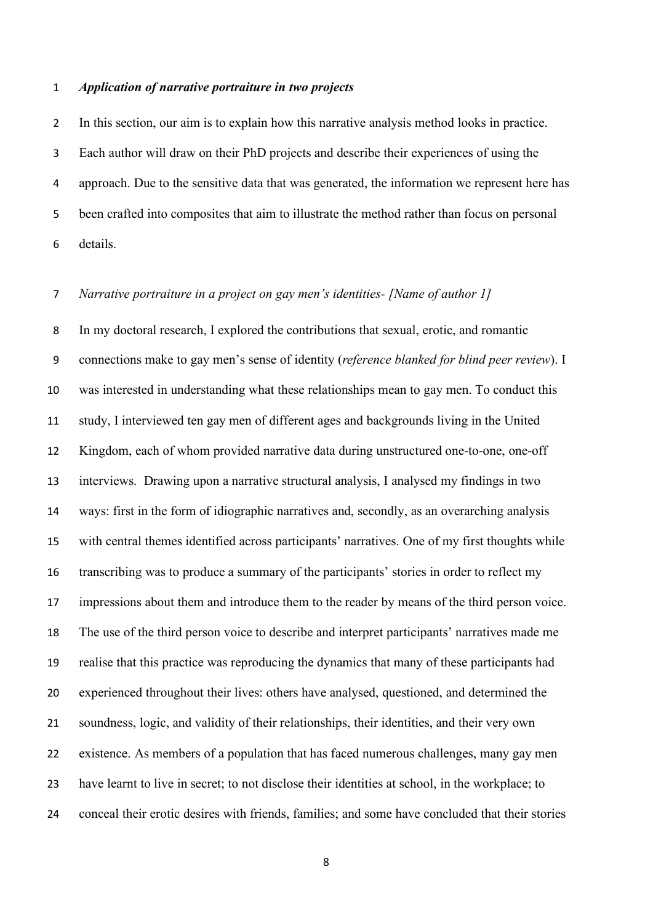#### *Application of narrative portraiture in two projects*

 In this section, our aim is to explain how this narrative analysis method looks in practice. Each author will draw on their PhD projects and describe their experiences of using the approach. Due to the sensitive data that was generated, the information we represent here has been crafted into composites that aim to illustrate the method rather than focus on personal details.

# *Narrative portraiture in a project on gay men's identities- [Name of author 1]*

 In my doctoral research, I explored the contributions that sexual, erotic, and romantic connections make to gay men's sense of identity (*reference blanked for blind peer review*). I was interested in understanding what these relationships mean to gay men. To conduct this study, I interviewed ten gay men of different ages and backgrounds living in the United Kingdom, each of whom provided narrative data during unstructured one-to-one, one-off interviews. Drawing upon a narrative structural analysis, I analysed my findings in two ways: first in the form of idiographic narratives and, secondly, as an overarching analysis with central themes identified across participants' narratives. One of my first thoughts while transcribing was to produce a summary of the participants' stories in order to reflect my impressions about them and introduce them to the reader by means of the third person voice. The use of the third person voice to describe and interpret participants' narratives made me realise that this practice was reproducing the dynamics that many of these participants had experienced throughout their lives: others have analysed, questioned, and determined the soundness, logic, and validity of their relationships, their identities, and their very own existence. As members of a population that has faced numerous challenges, many gay men have learnt to live in secret; to not disclose their identities at school, in the workplace; to conceal their erotic desires with friends, families; and some have concluded that their stories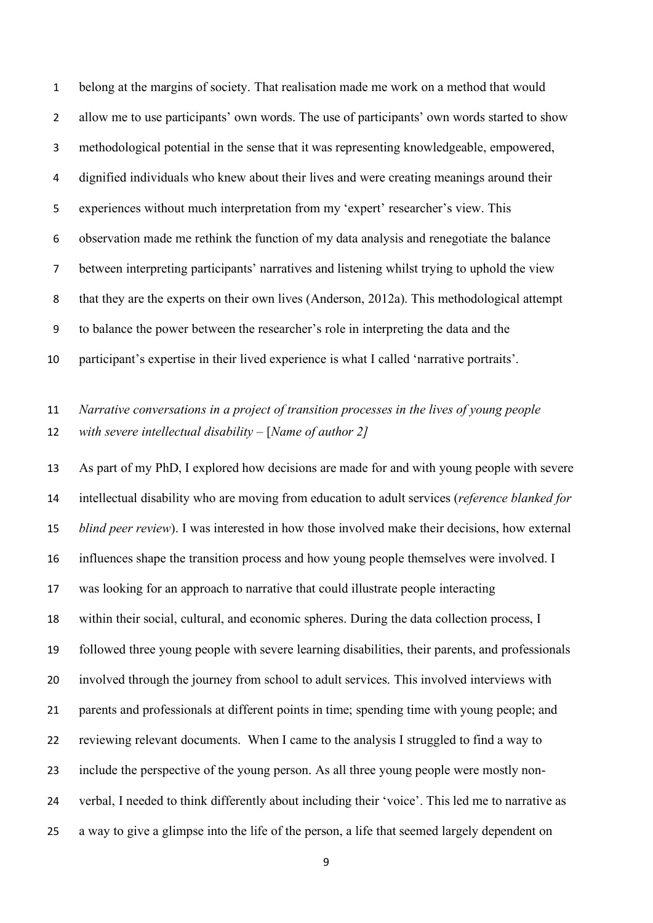belong at the margins of society. That realisation made me work on a method that would allow me to use participants' own words. The use of participants' own words started to show methodological potential in the sense that it was representing knowledgeable, empowered, dignified individuals who knew about their lives and were creating meanings around their experiences without much interpretation from my 'expert' researcher's view. This observation made me rethink the function of my data analysis and renegotiate the balance between interpreting participants' narratives and listening whilst trying to uphold the view that they are the experts on their own lives (Anderson, 2012a). This methodological attempt to balance the power between the researcher's role in interpreting the data and the participant's expertise in their lived experience is what I called 'narrative portraits'.

# *Narrative conversations in a project of transition processes in the lives of young people with severe intellectual disability –* [*Name of author 2]*

 As part of my PhD, I explored how decisions are made for and with young people with severe intellectual disability who are moving from education to adult services (*reference blanked for blind peer review*). I was interested in how those involved make their decisions, how external influences shape the transition process and how young people themselves were involved. I was looking for an approach to narrative that could illustrate people interacting within their social, cultural, and economic spheres. During the data collection process, I followed three young people with severe learning disabilities, their parents, and professionals involved through the journey from school to adult services. This involved interviews with parents and professionals at different points in time; spending time with young people; and reviewing relevant documents. When I came to the analysis I struggled to find a way to include the perspective of the young person. As all three young people were mostly non- verbal, I needed to think differently about including their 'voice'. This led me to narrative as a way to give a glimpse into the life of the person, a life that seemed largely dependent on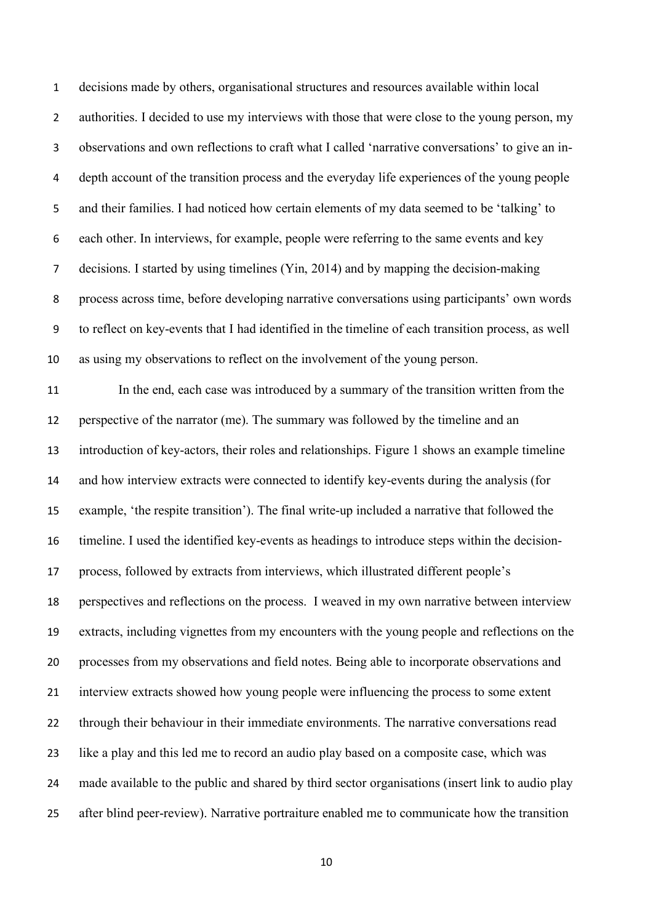decisions made by others, organisational structures and resources available within local 2 authorities. I decided to use my interviews with those that were close to the young person, my observations and own reflections to craft what I called 'narrative conversations' to give an in- depth account of the transition process and the everyday life experiences of the young people and their families. I had noticed how certain elements of my data seemed to be 'talking' to each other. In interviews, for example, people were referring to the same events and key decisions. I started by using timelines (Yin, 2014) and by mapping the decision-making process across time, before developing narrative conversations using participants' own words to reflect on key-events that I had identified in the timeline of each transition process, as well as using my observations to reflect on the involvement of the young person.

11 In the end, each case was introduced by a summary of the transition written from the perspective of the narrator (me). The summary was followed by the timeline and an introduction of key-actors, their roles and relationships. Figure 1 shows an example timeline and how interview extracts were connected to identify key-events during the analysis (for example, 'the respite transition'). The final write-up included a narrative that followed the timeline. I used the identified key-events as headings to introduce steps within the decision- process, followed by extracts from interviews, which illustrated different people's perspectives and reflections on the process. I weaved in my own narrative between interview extracts, including vignettes from my encounters with the young people and reflections on the processes from my observations and field notes. Being able to incorporate observations and interview extracts showed how young people were influencing the process to some extent through their behaviour in their immediate environments. The narrative conversations read like a play and this led me to record an audio play based on a composite case, which was made available to the public and shared by third sector organisations (insert link to audio play after blind peer-review). Narrative portraiture enabled me to communicate how the transition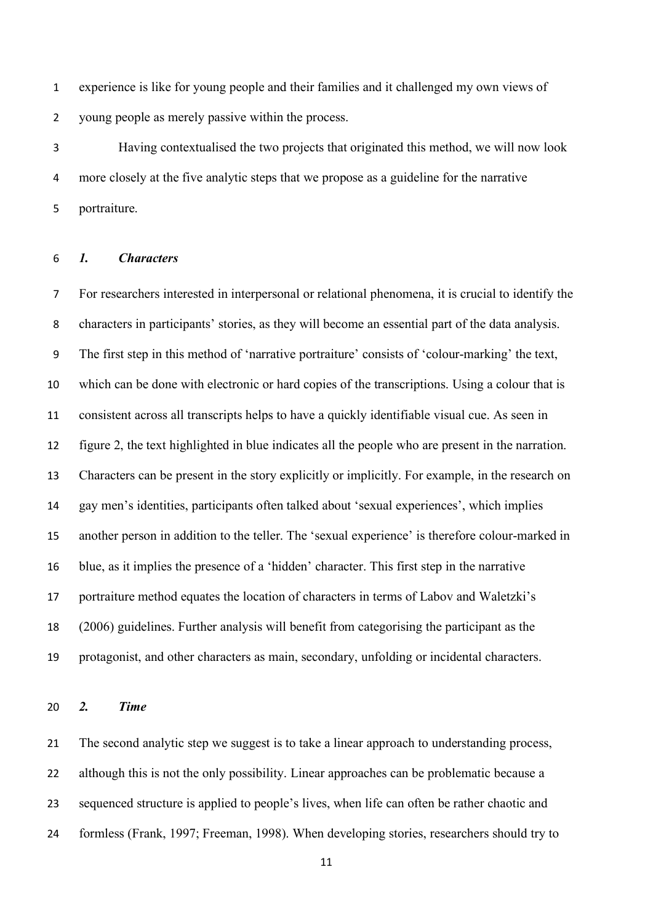experience is like for young people and their families and it challenged my own views of young people as merely passive within the process.

 Having contextualised the two projects that originated this method, we will now look more closely at the five analytic steps that we propose as a guideline for the narrative portraiture.

#### *1. Characters*

 For researchers interested in interpersonal or relational phenomena, it is crucial to identify the characters in participants' stories, as they will become an essential part of the data analysis. The first step in this method of 'narrative portraiture' consists of 'colour-marking' the text, which can be done with electronic or hard copies of the transcriptions. Using a colour that is consistent across all transcripts helps to have a quickly identifiable visual cue. As seen in figure 2, the text highlighted in blue indicates all the people who are present in the narration. Characters can be present in the story explicitly or implicitly. For example, in the research on gay men's identities, participants often talked about 'sexual experiences', which implies another person in addition to the teller. The 'sexual experience' is therefore colour-marked in blue, as it implies the presence of a 'hidden' character. This first step in the narrative portraiture method equates the location of characters in terms of Labov and Waletzki's (2006) guidelines. Further analysis will benefit from categorising the participant as the protagonist, and other characters as main, secondary, unfolding or incidental characters.

#### *2. Time*

 The second analytic step we suggest is to take a linear approach to understanding process, although this is not the only possibility. Linear approaches can be problematic because a sequenced structure is applied to people's lives, when life can often be rather chaotic and formless (Frank, 1997; Freeman, 1998). When developing stories, researchers should try to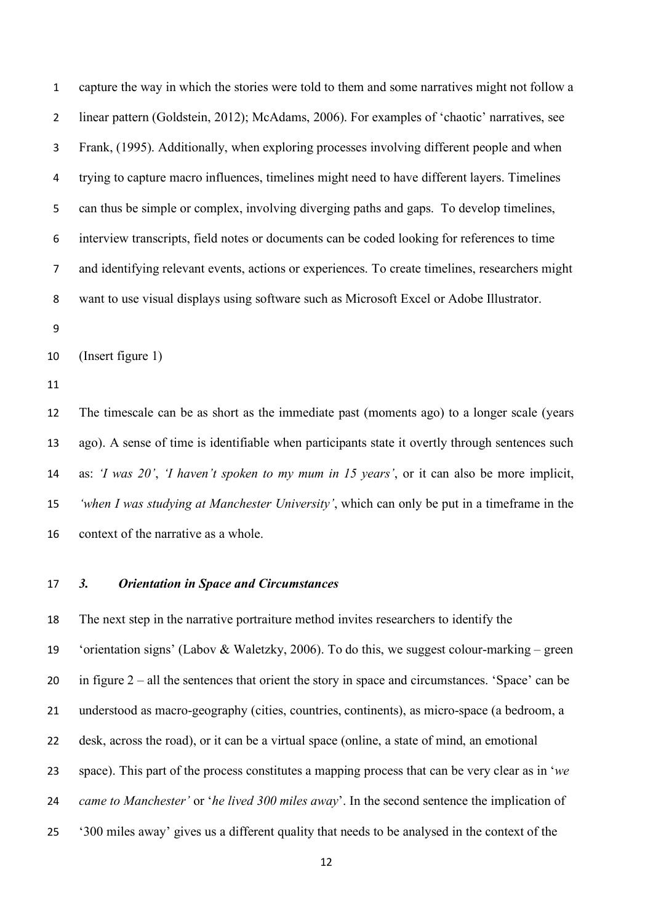capture the way in which the stories were told to them and some narratives might not follow a linear pattern (Goldstein, 2012); McAdams, 2006). For examples of 'chaotic' narratives, see Frank, (1995). Additionally, when exploring processes involving different people and when trying to capture macro influences, timelines might need to have different layers. Timelines can thus be simple or complex, involving diverging paths and gaps. To develop timelines, interview transcripts, field notes or documents can be coded looking for references to time and identifying relevant events, actions or experiences. To create timelines, researchers might want to use visual displays using software such as Microsoft Excel or Adobe Illustrator.

(Insert figure 1)

 The timescale can be as short as the immediate past (moments ago) to a longer scale (years ago). A sense of time is identifiable when participants state it overtly through sentences such as: *'I was 20'*, *'I haven't spoken to my mum in 15 years'*, or it can also be more implicit, *'when I was studying at Manchester University'*, which can only be put in a timeframe in the context of the narrative as a whole.

# *3. Orientation in Space and Circumstances*

 The next step in the narrative portraiture method invites researchers to identify the 'orientation signs' (Labov & Waletzky, 2006). To do this, we suggest colour-marking – green in figure 2 – all the sentences that orient the story in space and circumstances. 'Space' can be understood as macro-geography (cities, countries, continents), as micro-space (a bedroom, a desk, across the road), or it can be a virtual space (online, a state of mind, an emotional space). This part of the process constitutes a mapping process that can be very clear as in '*we came to Manchester'* or '*he lived 300 miles away*'. In the second sentence the implication of '300 miles away' gives us a different quality that needs to be analysed in the context of the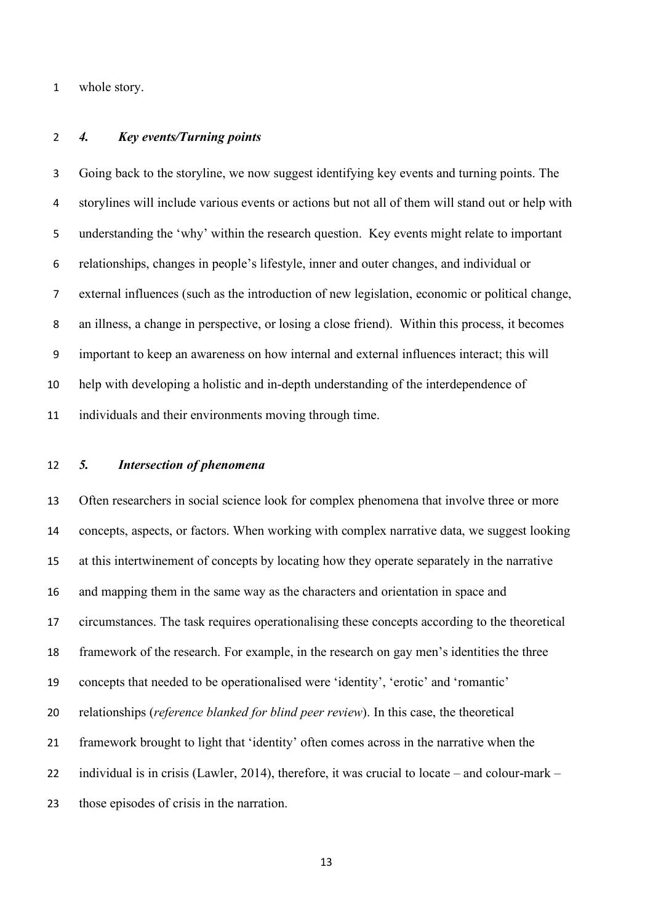whole story.

## *4. Key events/Turning points*

 Going back to the storyline, we now suggest identifying key events and turning points. The storylines will include various events or actions but not all of them will stand out or help with understanding the 'why' within the research question. Key events might relate to important relationships, changes in people's lifestyle, inner and outer changes, and individual or external influences (such as the introduction of new legislation, economic or political change, an illness, a change in perspective, or losing a close friend). Within this process, it becomes important to keep an awareness on how internal and external influences interact; this will help with developing a holistic and in-depth understanding of the interdependence of individuals and their environments moving through time.

## *5. Intersection of phenomena*

 Often researchers in social science look for complex phenomena that involve three or more concepts, aspects, or factors. When working with complex narrative data, we suggest looking at this intertwinement of concepts by locating how they operate separately in the narrative and mapping them in the same way as the characters and orientation in space and circumstances. The task requires operationalising these concepts according to the theoretical framework of the research. For example, in the research on gay men's identities the three concepts that needed to be operationalised were 'identity', 'erotic' and 'romantic' relationships (*reference blanked for blind peer review*). In this case, the theoretical framework brought to light that 'identity' often comes across in the narrative when the individual is in crisis (Lawler, 2014), therefore, it was crucial to locate – and colour-mark – those episodes of crisis in the narration.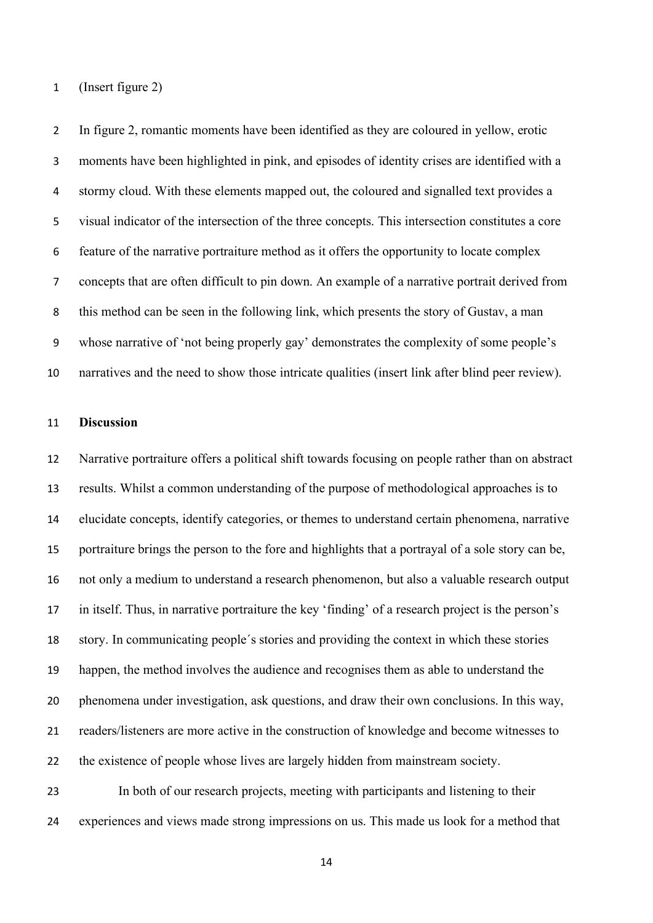#### (Insert figure 2)

 In figure 2, romantic moments have been identified as they are coloured in yellow, erotic moments have been highlighted in pink, and episodes of identity crises are identified with a stormy cloud. With these elements mapped out, the coloured and signalled text provides a visual indicator of the intersection of the three concepts. This intersection constitutes a core feature of the narrative portraiture method as it offers the opportunity to locate complex concepts that are often difficult to pin down. An example of a narrative portrait derived from this method can be seen in the following link, which presents the story of Gustav, a man whose narrative of 'not being properly gay' demonstrates the complexity of some people's narratives and the need to show those intricate qualities (insert link after blind peer review).

#### **Discussion**

 Narrative portraiture offers a political shift towards focusing on people rather than on abstract results. Whilst a common understanding of the purpose of methodological approaches is to elucidate concepts, identify categories, or themes to understand certain phenomena, narrative portraiture brings the person to the fore and highlights that a portrayal of a sole story can be, not only a medium to understand a research phenomenon, but also a valuable research output in itself. Thus, in narrative portraiture the key 'finding' of a research project is the person's story. In communicating people´s stories and providing the context in which these stories happen, the method involves the audience and recognises them as able to understand the phenomena under investigation, ask questions, and draw their own conclusions. In this way, readers/listeners are more active in the construction of knowledge and become witnesses to the existence of people whose lives are largely hidden from mainstream society.

 In both of our research projects, meeting with participants and listening to their experiences and views made strong impressions on us. This made us look for a method that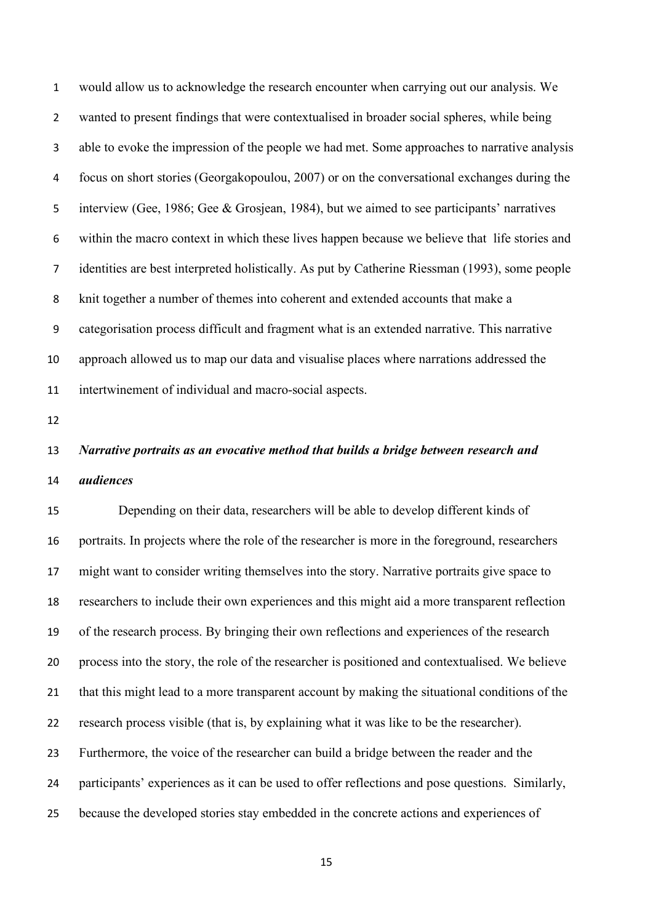would allow us to acknowledge the research encounter when carrying out our analysis. We wanted to present findings that were contextualised in broader social spheres, while being able to evoke the impression of the people we had met. Some approaches to narrative analysis focus on short stories (Georgakopoulou, 2007) or on the conversational exchanges during the interview (Gee, 1986; Gee & Grosjean, 1984), but we aimed to see participants' narratives within the macro context in which these lives happen because we believe that life stories and identities are best interpreted holistically. As put by Catherine Riessman (1993), some people knit together a number of themes into coherent and extended accounts that make a categorisation process difficult and fragment what is an extended narrative. This narrative approach allowed us to map our data and visualise places where narrations addressed the intertwinement of individual and macro-social aspects.

# *Narrative portraits as an evocative method that builds a bridge between research and audiences*

 Depending on their data, researchers will be able to develop different kinds of portraits. In projects where the role of the researcher is more in the foreground, researchers might want to consider writing themselves into the story. Narrative portraits give space to researchers to include their own experiences and this might aid a more transparent reflection of the research process. By bringing their own reflections and experiences of the research process into the story, the role of the researcher is positioned and contextualised. We believe that this might lead to a more transparent account by making the situational conditions of the research process visible (that is, by explaining what it was like to be the researcher). Furthermore, the voice of the researcher can build a bridge between the reader and the participants' experiences as it can be used to offer reflections and pose questions. Similarly, because the developed stories stay embedded in the concrete actions and experiences of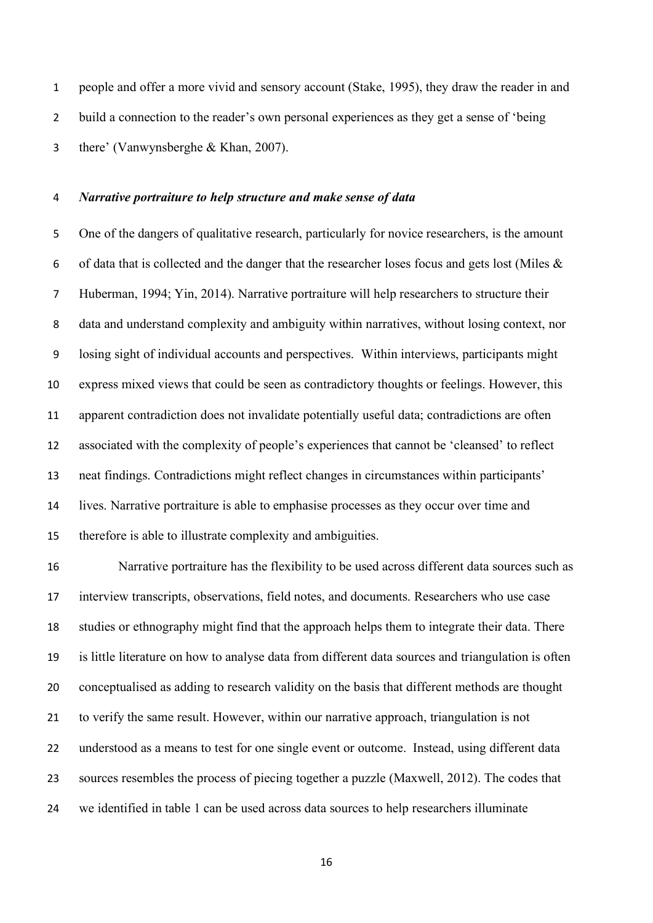people and offer a more vivid and sensory account (Stake, 1995), they draw the reader in and build a connection to the reader's own personal experiences as they get a sense of 'being there' (Vanwynsberghe & Khan, 2007).

## *Narrative portraiture to help structure and make sense of data*

 One of the dangers of qualitative research, particularly for novice researchers, is the amount 6 of data that is collected and the danger that the researcher loses focus and gets lost (Miles  $\&$  Huberman, 1994; Yin, 2014). Narrative portraiture will help researchers to structure their data and understand complexity and ambiguity within narratives, without losing context, nor losing sight of individual accounts and perspectives. Within interviews, participants might express mixed views that could be seen as contradictory thoughts or feelings. However, this apparent contradiction does not invalidate potentially useful data; contradictions are often associated with the complexity of people's experiences that cannot be 'cleansed' to reflect neat findings. Contradictions might reflect changes in circumstances within participants' lives. Narrative portraiture is able to emphasise processes as they occur over time and therefore is able to illustrate complexity and ambiguities.

 Narrative portraiture has the flexibility to be used across different data sources such as interview transcripts, observations, field notes, and documents. Researchers who use case studies or ethnography might find that the approach helps them to integrate their data. There is little literature on how to analyse data from different data sources and triangulation is often conceptualised as adding to research validity on the basis that different methods are thought to verify the same result. However, within our narrative approach, triangulation is not understood as a means to test for one single event or outcome. Instead, using different data sources resembles the process of piecing together a puzzle (Maxwell, 2012). The codes that we identified in table 1 can be used across data sources to help researchers illuminate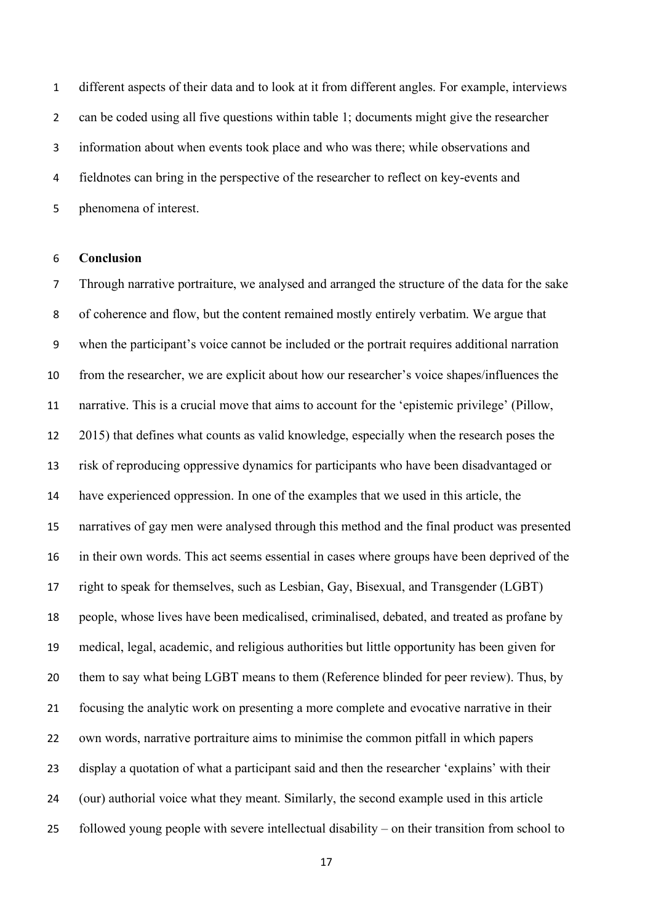different aspects of their data and to look at it from different angles. For example, interviews can be coded using all five questions within table 1; documents might give the researcher information about when events took place and who was there; while observations and fieldnotes can bring in the perspective of the researcher to reflect on key-events and phenomena of interest.

#### **Conclusion**

 Through narrative portraiture, we analysed and arranged the structure of the data for the sake of coherence and flow, but the content remained mostly entirely verbatim. We argue that when the participant's voice cannot be included or the portrait requires additional narration from the researcher, we are explicit about how our researcher's voice shapes/influences the narrative. This is a crucial move that aims to account for the 'epistemic privilege' (Pillow, 2015) that defines what counts as valid knowledge, especially when the research poses the risk of reproducing oppressive dynamics for participants who have been disadvantaged or have experienced oppression. In one of the examples that we used in this article, the narratives of gay men were analysed through this method and the final product was presented in their own words. This act seems essential in cases where groups have been deprived of the right to speak for themselves, such as Lesbian, Gay, Bisexual, and Transgender (LGBT) people, whose lives have been medicalised, criminalised, debated, and treated as profane by medical, legal, academic, and religious authorities but little opportunity has been given for them to say what being LGBT means to them (Reference blinded for peer review). Thus, by focusing the analytic work on presenting a more complete and evocative narrative in their own words, narrative portraiture aims to minimise the common pitfall in which papers display a quotation of what a participant said and then the researcher 'explains' with their (our) authorial voice what they meant. Similarly, the second example used in this article followed young people with severe intellectual disability – on their transition from school to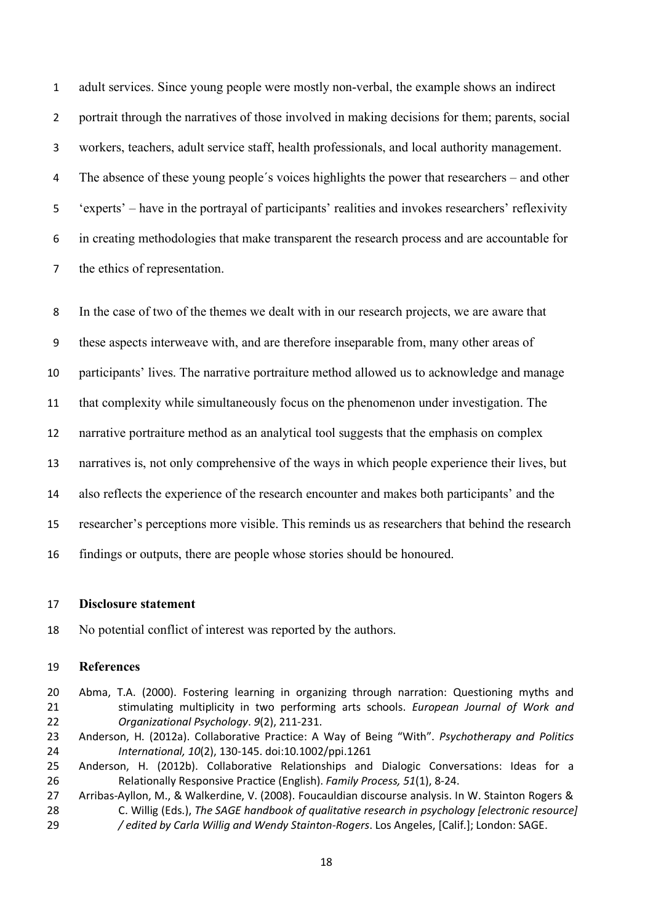adult services. Since young people were mostly non-verbal, the example shows an indirect portrait through the narratives of those involved in making decisions for them; parents, social workers, teachers, adult service staff, health professionals, and local authority management. The absence of these young people´s voices highlights the power that researchers – and other 'experts' – have in the portrayal of participants' realities and invokes researchers' reflexivity in creating methodologies that make transparent the research process and are accountable for the ethics of representation.

In the case of two of the themes we dealt with in our research projects, we are aware that

these aspects interweave with, and are therefore inseparable from, many other areas of

participants' lives. The narrative portraiture method allowed us to acknowledge and manage

that complexity while simultaneously focus on the phenomenon under investigation. The

narrative portraiture method as an analytical tool suggests that the emphasis on complex

narratives is, not only comprehensive of the ways in which people experience their lives, but

also reflects the experience of the research encounter and makes both participants' and the

researcher's perceptions more visible. This reminds us as researchers that behind the research

findings or outputs, there are people whose stories should be honoured.

#### **Disclosure statement**

No potential conflict of interest was reported by the authors.

#### **References**

- Abma, T.A. (2000). Fostering learning in organizing through narration: Questioning myths and stimulating multiplicity in two performing arts schools. *European Journal of Work and Organizational Psychology*. *9*(2), 211-231.
- Anderson, H. (2012a). Collaborative Practice: A Way of Being "With". *Psychotherapy and Politics International, 10*(2), 130-145. doi:10.1002/ppi.1261
- Anderson, H. (2012b). Collaborative Relationships and Dialogic Conversations: Ideas for a Relationally Responsive Practice (English). *Family Process, 51*(1), 8-24.
- Arribas-Ayllon, M., & Walkerdine, V. (2008). Foucauldian discourse analysis. In W. Stainton Rogers & C. Willig (Eds.), *The SAGE handbook of qualitative research in psychology [electronic resource] / edited by Carla Willig and Wendy Stainton-Rogers*. Los Angeles, [Calif.]; London: SAGE.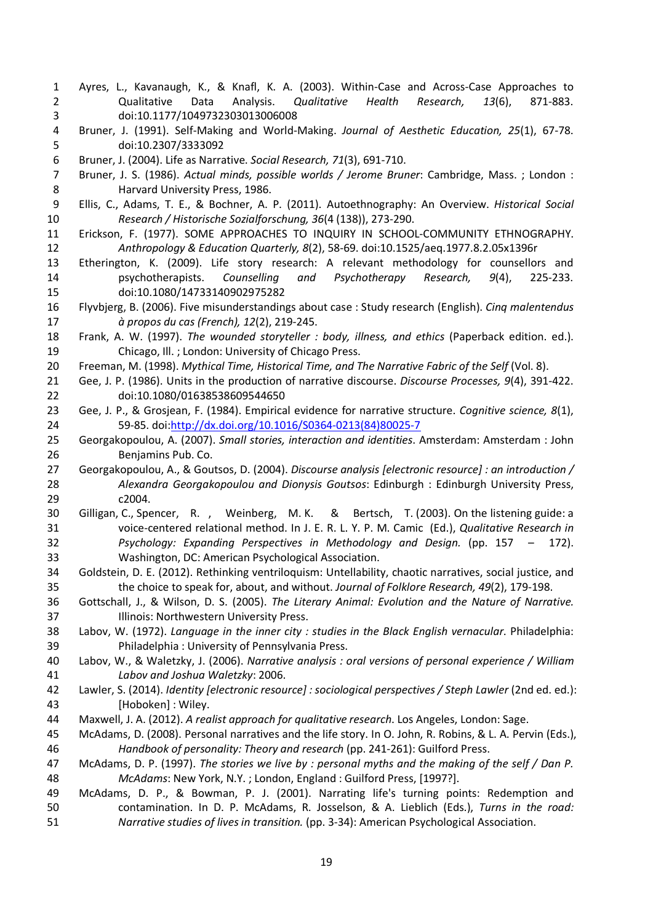- Ayres, L., Kavanaugh, K., & Knafl, K. A. (2003). Within-Case and Across-Case Approaches to Qualitative Data Analysis. *Qualitative Health Research, 13*(6), 871-883. doi:10.1177/1049732303013006008
- Bruner, J. (1991). Self-Making and World-Making. *Journal of Aesthetic Education, 25*(1), 67-78. doi:10.2307/3333092
- Bruner, J. (2004). Life as Narrative. *Social Research, 71*(3), 691-710.
- Bruner, J. S. (1986). *Actual minds, possible worlds / Jerome Bruner*: Cambridge, Mass. ; London : Harvard University Press, 1986.
- Ellis, C., Adams, T. E., & Bochner, A. P. (2011). Autoethnography: An Overview. *Historical Social Research / Historische Sozialforschung, 36*(4 (138)), 273-290.
- Erickson, F. (1977). SOME APPROACHES TO INQUIRY IN SCHOOL-COMMUNITY ETHNOGRAPHY. *Anthropology & Education Quarterly, 8*(2), 58-69. doi:10.1525/aeq.1977.8.2.05x1396r
- Etherington, K. (2009). Life story research: A relevant methodology for counsellors and psychotherapists. *Counselling and Psychotherapy Research, 9*(4), 225-233. doi:10.1080/14733140902975282
- Flyvbjerg, B. (2006). Five misunderstandings about case : Study research (English). *Cinq malentendus à propos du cas (French), 12*(2), 219-245.
- Frank, A. W. (1997). *The wounded storyteller : body, illness, and ethics* (Paperback edition. ed.). Chicago, Ill. ; London: University of Chicago Press.
- Freeman, M. (1998). *Mythical Time, Historical Time, and The Narrative Fabric of the Self* (Vol. 8).
- Gee, J. P. (1986). Units in the production of narrative discourse. *Discourse Processes, 9*(4), 391-422. doi:10.1080/01638538609544650
- Gee, J. P., & Grosjean, F. (1984). Empirical evidence for narrative structure. *Cognitive science, 8*(1), 59-85. doi[:http://dx.doi.org/10.1016/S0364-0213\(84\)80025-7](http://dx.doi.org/10.1016/S0364-0213(84)80025-7)
- Georgakopoulou, A. (2007). *Small stories, interaction and identities*. Amsterdam: Amsterdam : John Benjamins Pub. Co.
- Georgakopoulou, A., & Goutsos, D. (2004). *Discourse analysis [electronic resource] : an introduction / Alexandra Georgakopoulou and Dionysis Goutsos*: Edinburgh : Edinburgh University Press, c2004.
- Gilligan, C., Spencer, R. , Weinberg, M. K. & Bertsch, T. (2003). On the listening guide: a voice-centered relational method. In J. E. R. L. Y. P. M. Camic (Ed.), *Qualitative Research in Psychology: Expanding Perspectives in Methodology and Design.* (pp. 157 – 172). Washington, DC: American Psychological Association.
- Goldstein, D. E. (2012). Rethinking ventriloquism: Untellability, chaotic narratives, social justice, and the choice to speak for, about, and without. *Journal of Folklore Research, 49*(2), 179-198.
- Gottschall, J., & Wilson, D. S. (2005). *The Literary Animal: Evolution and the Nature of Narrative.* Illinois: Northwestern University Press.
- Labov, W. (1972). *Language in the inner city : studies in the Black English vernacular*. Philadelphia: Philadelphia : University of Pennsylvania Press.
- Labov, W., & Waletzky, J. (2006). *Narrative analysis : oral versions of personal experience / William Labov and Joshua Waletzky*: 2006.
- Lawler, S. (2014). *Identity [electronic resource] : sociological perspectives / Steph Lawler* (2nd ed. ed.): [Hoboken] : Wiley.
- Maxwell, J. A. (2012). *A realist approach for qualitative research*. Los Angeles, London: Sage.
- McAdams, D. (2008). Personal narratives and the life story. In O. John, R. Robins, & L. A. Pervin (Eds.), *Handbook of personality: Theory and research* (pp. 241-261): Guilford Press.
- McAdams, D. P. (1997). *The stories we live by : personal myths and the making of the self / Dan P. McAdams*: New York, N.Y. ; London, England : Guilford Press, [1997?].
- McAdams, D. P., & Bowman, P. J. (2001). Narrating life's turning points: Redemption and contamination. In D. P. McAdams, R. Josselson, & A. Lieblich (Eds.), *Turns in the road: Narrative studies of lives in transition.* (pp. 3-34): American Psychological Association.